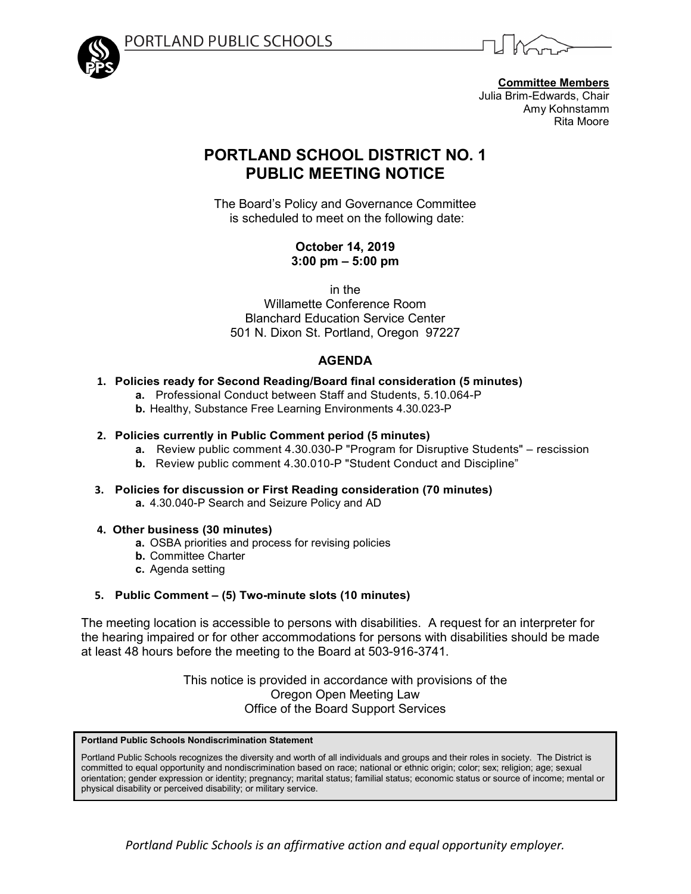



**Committee Members** Julia Brim-Edwards, Chair Amy Kohnstamm Rita Moore

# **PORTLAND SCHOOL DISTRICT NO. 1 PUBLIC MEETING NOTICE**

The Board's Policy and Governance Committee is scheduled to meet on the following date:

> **October 14, 2019 3:00 pm – 5:00 pm**

> > in the

Willamette Conference Room Blanchard Education Service Center 501 N. Dixon St. Portland, Oregon 97227

# **AGENDA**

## **1. Policies ready for Second Reading/Board final consideration (5 minutes)**

- **a.** Professional Conduct between Staff and Students, 5.10.064-P
- **b.** Healthy, Substance Free Learning Environments 4.30.023-P

### **2. Policies currently in Public Comment period (5 minutes)**

- **a.** Review public comment 4.30.030-P "Program for Disruptive Students" rescission
- **b.** Review public comment 4.30.010-P "Student Conduct and Discipline"
- **3. Policies for discussion or First Reading consideration (70 minutes) a.** 4.30.040-P Search and Seizure Policy and AD

### **4. Other business (30 minutes)**

- **a.** OSBA priorities and process for revising policies
- **b.** Committee Charter
- **c.** Agenda setting

# **5. Public Comment – (5) Two-minute slots (10 minutes)**

The meeting location is accessible to persons with disabilities. A request for an interpreter for the hearing impaired or for other accommodations for persons with disabilities should be made at least 48 hours before the meeting to the Board at 503-916-3741.

> This notice is provided in accordance with provisions of the Oregon Open Meeting Law Office of the Board Support Services

**Portland Public Schools Nondiscrimination Statement**

Portland Public Schools recognizes the diversity and worth of all individuals and groups and their roles in society. The District is committed to equal opportunity and nondiscrimination based on race; national or ethnic origin; color; sex; religion; age; sexual orientation; gender expression or identity; pregnancy; marital status; familial status; economic status or source of income; mental or physical disability or perceived disability; or military service.

*Portland Public Schools is an affirmative action and equal opportunity employer.*